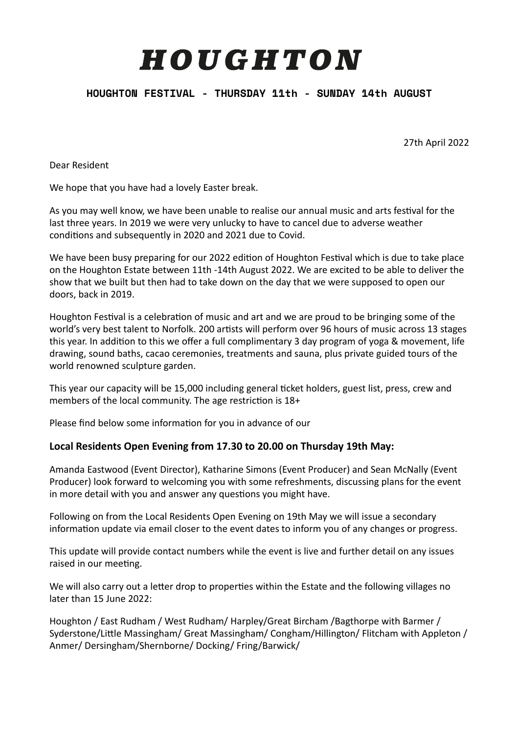# HOUGHTON

# **HOUGHTON FESTIVAL - THURSDAY 11th - SUNDAY 14th AUGUST**

27th April 2022 

Dear Resident

We hope that you have had a lovely Easter break.

As you may well know, we have been unable to realise our annual music and arts festival for the last three years. In 2019 we were very unlucky to have to cancel due to adverse weather conditions and subsequently in 2020 and 2021 due to Covid.

We have been busy preparing for our 2022 edition of Houghton Festival which is due to take place on the Houghton Estate between 11th -14th August 2022. We are excited to be able to deliver the show that we built but then had to take down on the day that we were supposed to open our doors, back in 2019.

Houghton Festival is a celebration of music and art and we are proud to be bringing some of the world's very best talent to Norfolk. 200 artists will perform over 96 hours of music across 13 stages this year. In addition to this we offer a full complimentary 3 day program of yoga & movement, life drawing, sound baths, cacao ceremonies, treatments and sauna, plus private guided tours of the world renowned sculpture garden.

This vear our capacity will be 15,000 including general ticket holders, guest list, press, crew and members of the local community. The age restriction is  $18+$ 

Please find below some information for you in advance of our

# Local Residents Open Evening from 17.30 to 20.00 on Thursday 19th May:

Amanda Eastwood (Event Director), Katharine Simons (Event Producer) and Sean McNally (Event Producer) look forward to welcoming you with some refreshments, discussing plans for the event in more detail with you and answer any questions you might have.

Following on from the Local Residents Open Evening on 19th May we will issue a secondary information update via email closer to the event dates to inform you of any changes or progress.

This update will provide contact numbers while the event is live and further detail on any issues raised in our meeting.

We will also carry out a letter drop to properties within the Estate and the following villages no later than 15 June 2022:

Houghton / East Rudham / West Rudham/ Harpley/Great Bircham / Bagthorpe with Barmer / Syderstone/Little Massingham/ Great Massingham/ Congham/Hillington/ Flitcham with Appleton / Anmer/ Dersingham/Shernborne/ Docking/ Fring/Barwick/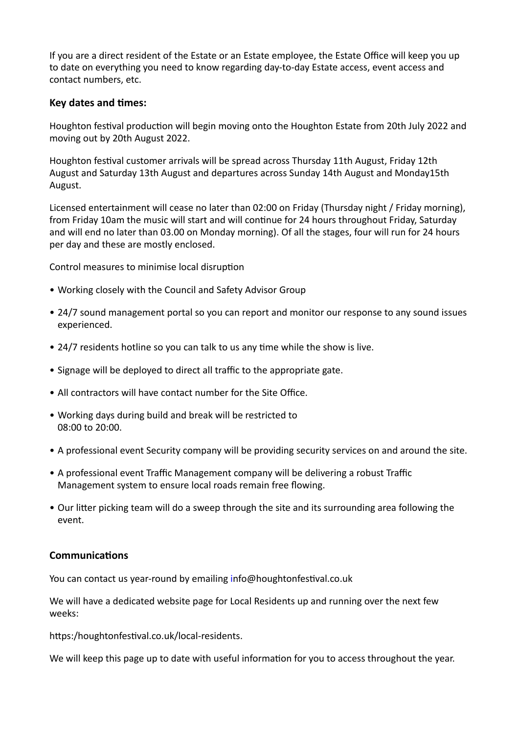If you are a direct resident of the Estate or an Estate employee, the Estate Office will keep you up to date on everything you need to know regarding day-to-day Estate access, event access and contact numbers, etc.

### **Key dates and times:**

Houghton festival production will begin moving onto the Houghton Estate from 20th July 2022 and moving out by 20th August 2022.

Houghton festival customer arrivals will be spread across Thursday 11th August, Friday 12th August and Saturday 13th August and departures across Sunday 14th August and Monday15th August. 

Licensed entertainment will cease no later than 02:00 on Friday (Thursday night / Friday morning), from Friday 10am the music will start and will continue for 24 hours throughout Friday, Saturday and will end no later than 03.00 on Monday morning). Of all the stages, four will run for 24 hours per day and these are mostly enclosed.

Control measures to minimise local disruption

- Working closely with the Council and Safety Advisor Group
- 24/7 sound management portal so you can report and monitor our response to any sound issues experienced.
- 24/7 residents hotline so you can talk to us any time while the show is live.
- Signage will be deployed to direct all traffic to the appropriate gate.
- All contractors will have contact number for the Site Office.
- Working days during build and break will be restricted to  $08:00 \text{ to } 20:00$
- A professional event Security company will be providing security services on and around the site.
- A professional event Traffic Management company will be delivering a robust Traffic Management system to ensure local roads remain free flowing.
- Our litter picking team will do a sweep through the site and its surrounding area following the event.

#### **Communications**

You can contact us year-round by emailing info@houghtonfestival.co.uk

We will have a dedicated website page for Local Residents up and running over the next few weeks: 

https:/houghtonfestival.co.uk/local-residents.

We will keep this page up to date with useful information for you to access throughout the year.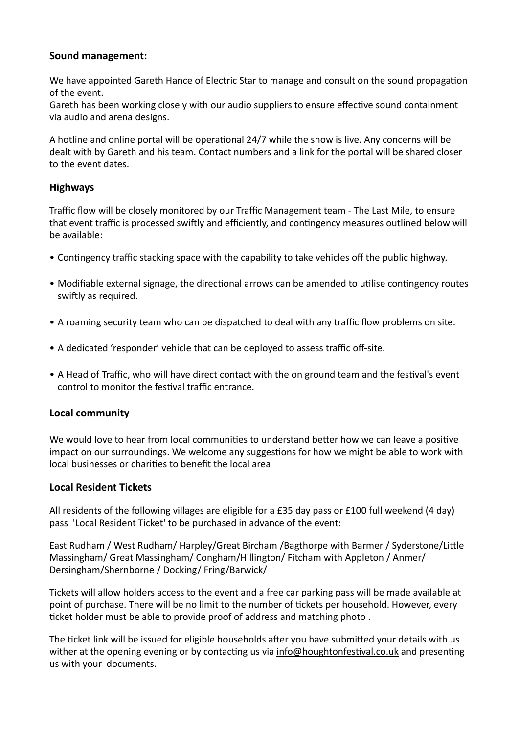# Sound management:

We have appointed Gareth Hance of Electric Star to manage and consult on the sound propagation of the event.

Gareth has been working closely with our audio suppliers to ensure effective sound containment via audio and arena designs.

A hotline and online portal will be operational 24/7 while the show is live. Any concerns will be dealt with by Gareth and his team. Contact numbers and a link for the portal will be shared closer to the event dates.

# **Highways**

Traffic flow will be closely monitored by our Traffic Management team - The Last Mile, to ensure that event traffic is processed swiftly and efficiently, and contingency measures outlined below will be available:

- Contingency traffic stacking space with the capability to take vehicles off the public highway.
- Modifiable external signage, the directional arrows can be amended to utilise contingency routes swiftly as required.
- A roaming security team who can be dispatched to deal with any traffic flow problems on site.
- A dedicated 'responder' vehicle that can be deployed to assess traffic off-site.
- A Head of Traffic, who will have direct contact with the on ground team and the festival's event control to monitor the festival traffic entrance.

# **Local community**

We would love to hear from local communities to understand better how we can leave a positive impact on our surroundings. We welcome any suggestions for how we might be able to work with local businesses or charities to benefit the local area

# **Local Resident Tickets**

All residents of the following villages are eligible for a £35 day pass or £100 full weekend (4 day) pass 'Local Resident Ticket' to be purchased in advance of the event:

East Rudham / West Rudham/ Harpley/Great Bircham /Bagthorpe with Barmer / Syderstone/Little Massingham/ Great Massingham/ Congham/Hillington/ Fitcham with Appleton / Anmer/ Dersingham/Shernborne / Docking/ Fring/Barwick/

Tickets will allow holders access to the event and a free car parking pass will be made available at point of purchase. There will be no limit to the number of tickets per household. However, every ticket holder must be able to provide proof of address and matching photo.

The ticket link will be issued for eligible households after you have submitted your details with us wither at the opening evening or by contacting us via info@houghtonfestival.co.uk and presenting us with your documents.